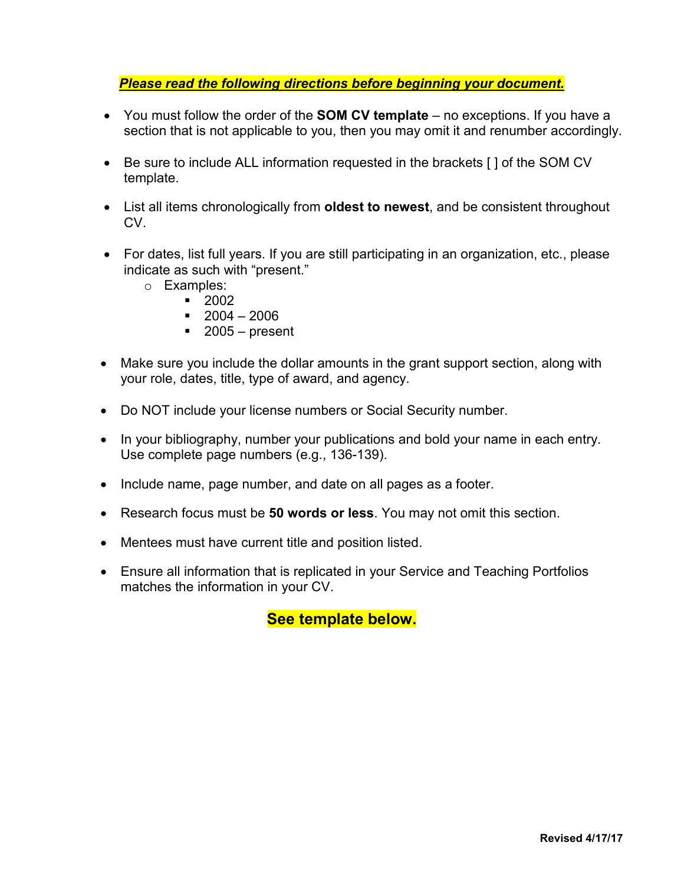# *Please read the following directions before beginning your document.*

- You must follow the order of the **SOM CV template** no exceptions. If you have a section that is not applicable to you, then you may omit it and renumber accordingly.
- Be sure to include ALL information requested in the brackets [ ] of the SOM CV template.
- List all items chronologically from **oldest to newest**, and be consistent throughout CV.
- For dates, list full years. If you are still participating in an organization, etc., please indicate as such with "present."
	- o Examples:
		- 2002
			- $-2004 2006$
			- $\blacksquare$  2005 present
- Make sure you include the dollar amounts in the grant support section, along with your role, dates, title, type of award, and agency.
- Do NOT include your license numbers or Social Security number.
- In your bibliography, number your publications and bold your name in each entry. Use complete page numbers (e.g., 136-139).
- Include name, page number, and date on all pages as a footer.
- Research focus must be **50 words or less**. You may not omit this section.
- Mentees must have current title and position listed.
- Ensure all information that is replicated in your Service and Teaching Portfolios matches the information in your CV.

**See template below.**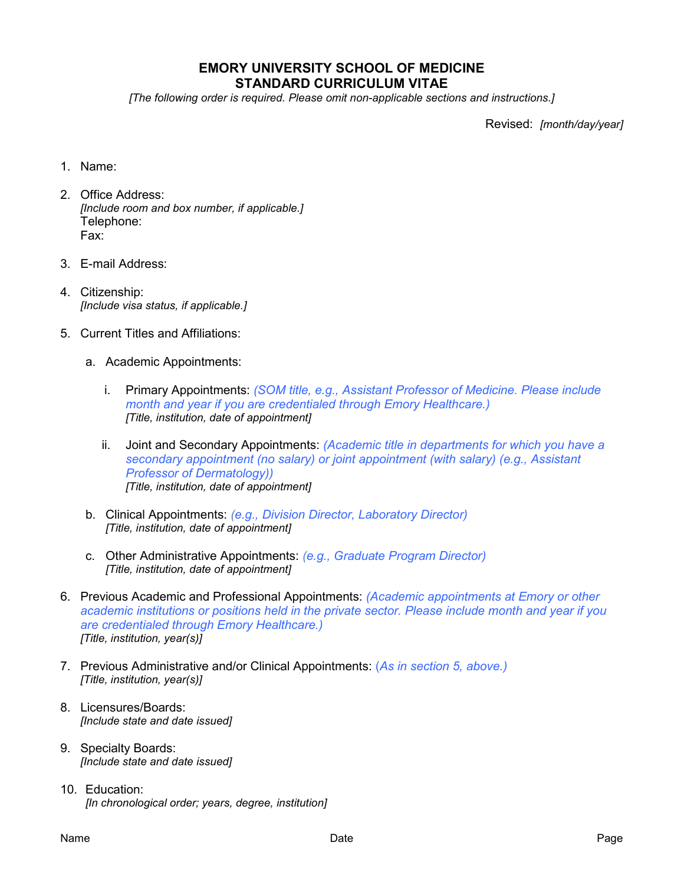# **EMORY UNIVERSITY SCHOOL OF MEDICINE STANDARD CURRICULUM VITAE**

*[The following order is required. Please omit non-applicable sections and instructions.]*

Revised: *[month/day/year]*

- 1. Name:
- 2. Office Address: *[Include room and box number, if applicable.]* Telephone: Fax:
- 3. E-mail Address:
- 4. Citizenship: *[Include visa status, if applicable.]*
- 5. Current Titles and Affiliations:
	- a. Academic Appointments:
		- i. Primary Appointments: *(SOM title, e.g., Assistant Professor of Medicine. Please include month and year if you are credentialed through Emory Healthcare.) [Title, institution, date of appointment]*
		- ii. Joint and Secondary Appointments: *(Academic title in departments for which you have a secondary appointment (no salary) or joint appointment (with salary) (e.g., Assistant Professor of Dermatology)) [Title, institution, date of appointment]*
	- b. Clinical Appointments: *(e.g., Division Director, Laboratory Director) [Title, institution, date of appointment]*
	- c. Other Administrative Appointments: *(e.g., Graduate Program Director) [Title, institution, date of appointment]*
- 6. Previous Academic and Professional Appointments: *(Academic appointments at Emory or other academic institutions or positions held in the private sector. Please include month and year if you are credentialed through Emory Healthcare.) [Title, institution, year(s)]*
- 7. Previous Administrative and/or Clinical Appointments: (*As in section 5, above.) [Title, institution, year(s)]*
- 8. Licensures/Boards: *[Include state and date issued]*
- 9. Specialty Boards: *[Include state and date issued]*
- 10. Education: *[In chronological order; years, degree, institution]*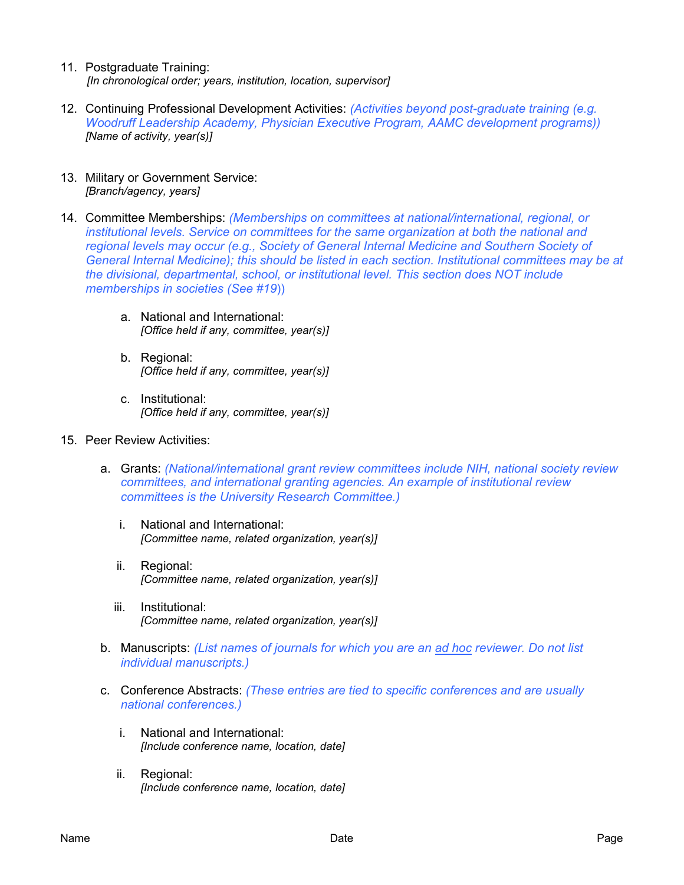- 11. Postgraduate Training: *[In chronological order; years, institution, location, supervisor]*
- 12. Continuing Professional Development Activities: *(Activities beyond post-graduate training (e.g. Woodruff Leadership Academy, Physician Executive Program, AAMC development programs)) [Name of activity, year(s)]*
- 13. Military or Government Service: *[Branch/agency, years]*
- 14. Committee Memberships: *(Memberships on committees at national/international, regional, or institutional levels. Service on committees for the same organization at both the national and regional levels may occur (e.g., Society of General Internal Medicine and Southern Society of General Internal Medicine); this should be listed in each section. Institutional committees may be at the divisional, departmental, school, or institutional level. This section does NOT include memberships in societies (See #19*))
	- a. National and International: *[Office held if any, committee, year(s)]*
	- b. Regional: *[Office held if any, committee, year(s)]*
	- c. Institutional: *[Office held if any, committee, year(s)]*
- 15. Peer Review Activities:
	- a. Grants: *(National/international grant review committees include NIH, national society review committees, and international granting agencies. An example of institutional review committees is the University Research Committee.)*
		- i. National and International: *[Committee name, related organization, year(s)]*
		- ii. Regional: *[Committee name, related organization, year(s)]*
		- iii. Institutional: *[Committee name, related organization, year(s)]*
	- b. Manuscripts: *(List names of journals for which you are an ad hoc reviewer. Do not list individual manuscripts.)*
	- c. Conference Abstracts: *(These entries are tied to specific conferences and are usually national conferences.)*
		- i. National and International: *[Include conference name, location, date]*
		- ii. Regional: *[Include conference name, location, date]*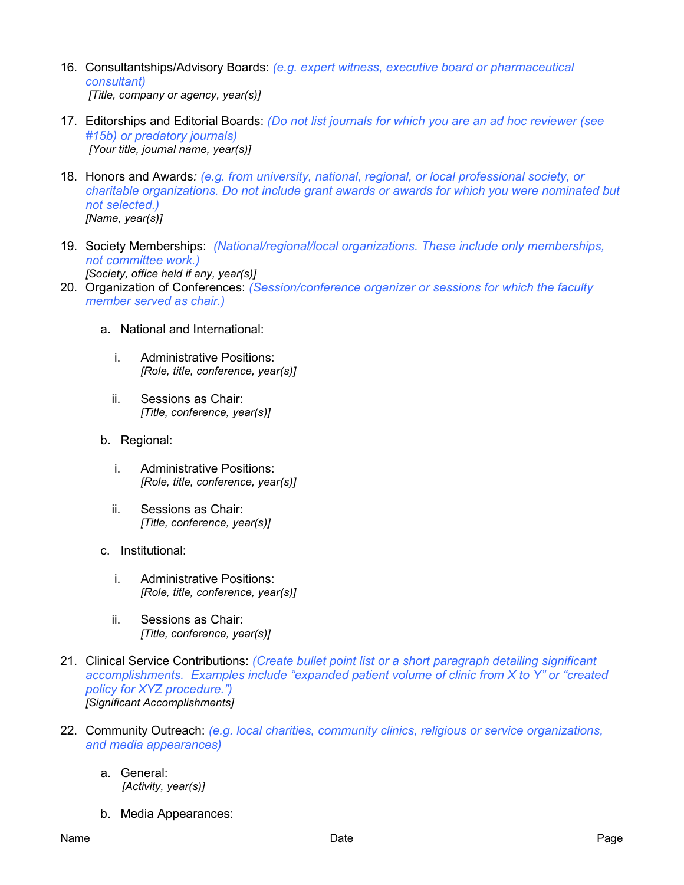- 16. Consultantships/Advisory Boards: *(e.g. expert witness, executive board or pharmaceutical consultant) [Title, company or agency, year(s)]*
- 17. Editorships and Editorial Boards: *(Do not list journals for which you are an ad hoc reviewer (see #15b) or predatory journals) [Your title, journal name, year(s)]*
- 18. Honors and Awards*: (e.g. from university, national, regional, or local professional society, or charitable organizations. Do not include grant awards or awards for which you were nominated but not selected.) [Name, year(s)]*
- 19. Society Memberships: *(National/regional/local organizations. These include only memberships, not committee work.) [Society, office held if any, year(s)]*
- 20. Organization of Conferences: *(Session/conference organizer or sessions for which the faculty member served as chair.)*
	- a. National and International:
		- i. Administrative Positions: *[Role, title, conference, year(s)]*
		- ii. Sessions as Chair: *[Title, conference, year(s)]*
	- b. Regional:
		- i. Administrative Positions: *[Role, title, conference, year(s)]*
		- ii. Sessions as Chair: *[Title, conference, year(s)]*
	- c. Institutional:
		- i. Administrative Positions: *[Role, title, conference, year(s)]*
		- ii. Sessions as Chair: *[Title, conference, year(s)]*
- 21. Clinical Service Contributions: *(Create bullet point list or a short paragraph detailing significant accomplishments. Examples include "expanded patient volume of clinic from X to Y" or "created policy for XYZ procedure.") [Significant Accomplishments]*
- 22. Community Outreach: *(e.g. local charities, community clinics, religious or service organizations, and media appearances)*
	- a. General:  *[Activity, year(s)]*
	- b. Media Appearances: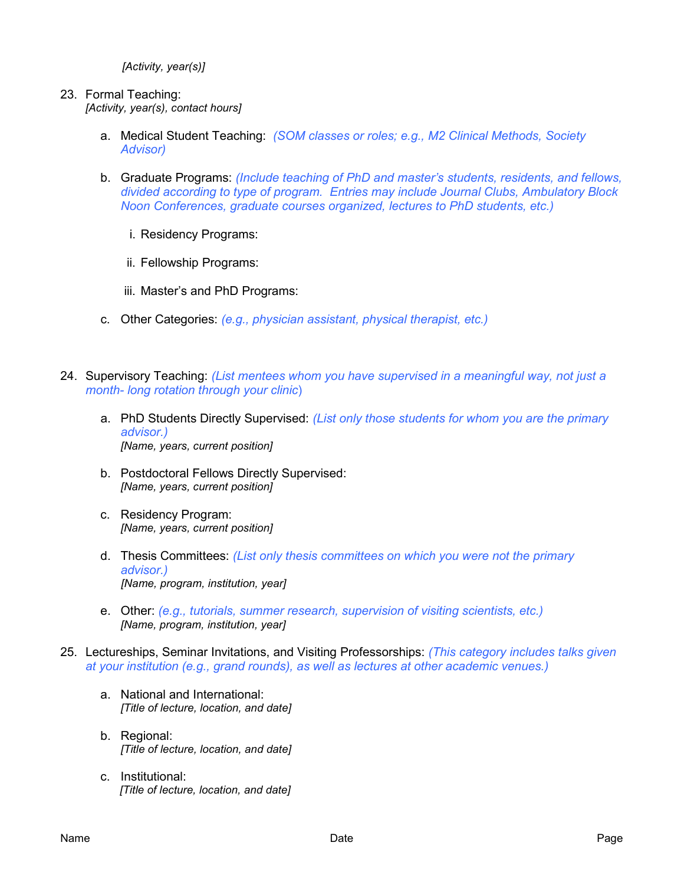*[Activity, year(s)]*

### 23. Formal Teaching:

*[Activity, year(s), contact hours]*

- a. Medical Student Teaching: *(SOM classes or roles; e.g., M2 Clinical Methods, Society Advisor)*
- b. Graduate Programs: *(Include teaching of PhD and master's students, residents, and fellows, divided according to type of program. Entries may include Journal Clubs, Ambulatory Block Noon Conferences, graduate courses organized, lectures to PhD students, etc.)*
	- i. Residency Programs:
	- ii. Fellowship Programs:
	- iii. Master's and PhD Programs:
- c. Other Categories: *(e.g., physician assistant, physical therapist, etc.)*
- 24. Supervisory Teaching: *(List mentees whom you have supervised in a meaningful way, not just a month- long rotation through your clinic*)
	- a. PhD Students Directly Supervised: *(List only those students for whom you are the primary advisor.) [Name, years, current position]*
	- b. Postdoctoral Fellows Directly Supervised: *[Name, years, current position]*
	- c. Residency Program: *[Name, years, current position]*
	- d. Thesis Committees: *(List only thesis committees on which you were not the primary advisor.) [Name, program, institution, year]*
	- e. Other: *(e.g., tutorials, summer research, supervision of visiting scientists, etc.) [Name, program, institution, year]*
- 25. Lectureships, Seminar Invitations, and Visiting Professorships: *(This category includes talks given at your institution (e.g., grand rounds), as well as lectures at other academic venues.)* 
	- a. National and International: *[Title of lecture, location, and date]*
	- b. Regional: *[Title of lecture, location, and date]*
	- c. Institutional:  *[Title of lecture, location, and date]*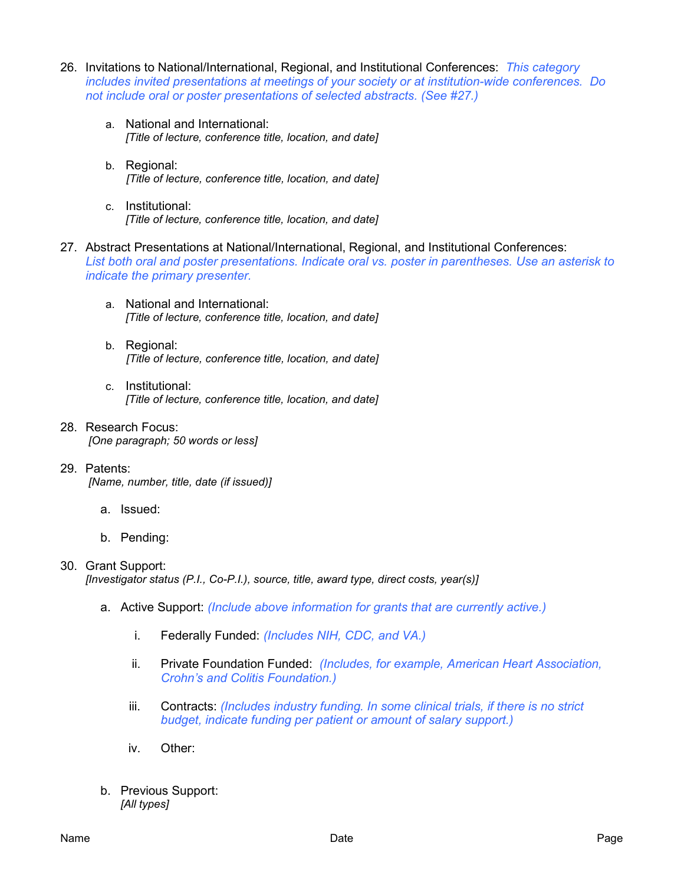- 26. Invitations to National/International, Regional, and Institutional Conferences: *This category includes invited presentations at meetings of your society or at institution-wide conferences. Do not include oral or poster presentations of selected abstracts. (See #27.)*
	- a. National and International: *[Title of lecture, conference title, location, and date]*
	- b. Regional: *[Title of lecture, conference title, location, and date]*
	- c. Institutional: *[Title of lecture, conference title, location, and date]*
- 27. Abstract Presentations at National/International, Regional, and Institutional Conferences: *List both oral and poster presentations. Indicate oral vs. poster in parentheses. Use an asterisk to indicate the primary presenter.*
	- a. National and International: *[Title of lecture, conference title, location, and date]*
	- b. Regional: *[Title of lecture, conference title, location, and date]*
	- c. Institutional: *[Title of lecture, conference title, location, and date]*
- 28. Research Focus: *[One paragraph; 50 words or less]*
- 29. Patents:

*[Name, number, title, date (if issued)]*

- a. Issued:
- b. Pending:

#### 30. Grant Support:

*[Investigator status (P.I., Co-P.I.), source, title, award type, direct costs, year(s)]*

- a. Active Support: *(Include above information for grants that are currently active.)*
	- i. Federally Funded: *(Includes NIH, CDC, and VA.)*
	- ii. Private Foundation Funded: *(Includes, for example, American Heart Association, Crohn's and Colitis Foundation.)*
	- iii. Contracts: *(Includes industry funding. In some clinical trials, if there is no strict budget, indicate funding per patient or amount of salary support.)*
	- iv. Other:
- b. Previous Support: *[All types]*